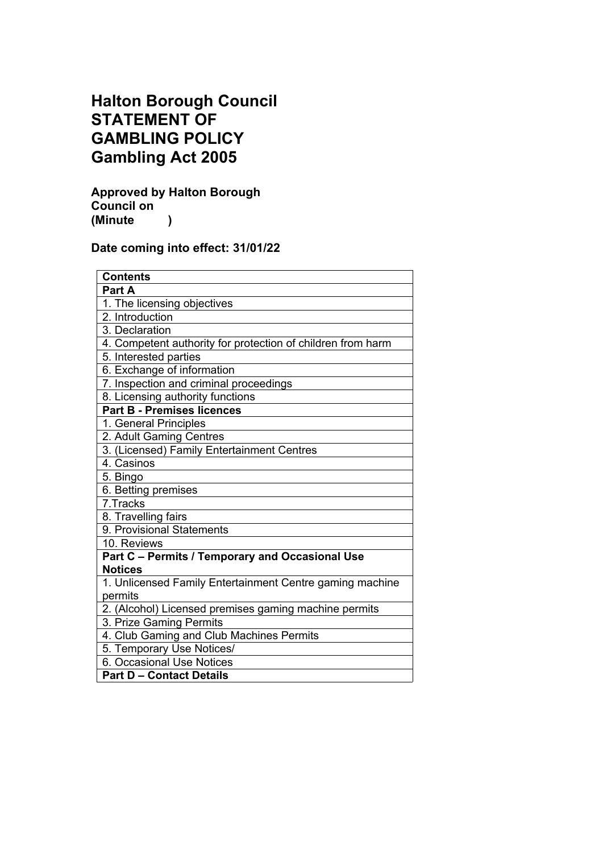# **Halton Borough Council STATEMENT OF GAMBLING POLICY Gambling Act 2005**

**Approved by Halton Borough Council on (Minute )**

# **Date coming into effect: 31/01/22**

| <b>Contents</b>                                             |
|-------------------------------------------------------------|
| Part A                                                      |
| 1. The licensing objectives                                 |
| 2. Introduction                                             |
| 3. Declaration                                              |
| 4. Competent authority for protection of children from harm |
| 5. Interested parties                                       |
| 6. Exchange of information                                  |
| 7. Inspection and criminal proceedings                      |
| 8. Licensing authority functions                            |
| <b>Part B - Premises licences</b>                           |
| 1. General Principles                                       |
| 2. Adult Gaming Centres                                     |
| 3. (Licensed) Family Entertainment Centres                  |
| 4. Casinos                                                  |
| 5. Bingo                                                    |
| 6. Betting premises                                         |
| 7. Tracks                                                   |
| 8. Travelling fairs                                         |
| 9. Provisional Statements                                   |
| 10. Reviews                                                 |
| Part C - Permits / Temporary and Occasional Use             |
| <b>Notices</b>                                              |
| 1. Unlicensed Family Entertainment Centre gaming machine    |
| permits                                                     |
| 2. (Alcohol) Licensed premises gaming machine permits       |
| 3. Prize Gaming Permits                                     |
| 4. Club Gaming and Club Machines Permits                    |
| 5. Temporary Use Notices/                                   |
| 6. Occasional Use Notices                                   |
| <b>Part D - Contact Details</b>                             |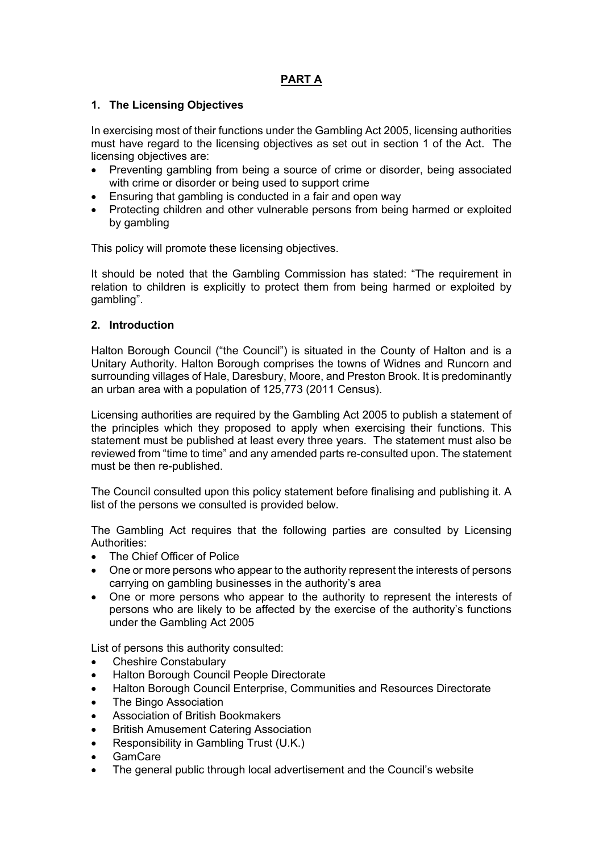# **PART A**

# **1. The Licensing Objectives**

In exercising most of their functions under the Gambling Act 2005, licensing authorities must have regard to the licensing objectives as set out in section 1 of the Act. The licensing objectives are:

- Preventing gambling from being a source of crime or disorder, being associated with crime or disorder or being used to support crime
- Ensuring that gambling is conducted in a fair and open way
- Protecting children and other vulnerable persons from being harmed or exploited by gambling

This policy will promote these licensing objectives.

It should be noted that the Gambling Commission has stated: "The requirement in relation to children is explicitly to protect them from being harmed or exploited by gambling".

## **2. Introduction**

Halton Borough Council ("the Council") is situated in the County of Halton and is a Unitary Authority. Halton Borough comprises the towns of Widnes and Runcorn and surrounding villages of Hale, Daresbury, Moore, and Preston Brook. It is predominantly an urban area with a population of 125,773 (2011 Census).

Licensing authorities are required by the Gambling Act 2005 to publish a statement of the principles which they proposed to apply when exercising their functions. This statement must be published at least every three years. The statement must also be reviewed from "time to time" and any amended parts re-consulted upon. The statement must be then re-published.

The Council consulted upon this policy statement before finalising and publishing it. A list of the persons we consulted is provided below.

The Gambling Act requires that the following parties are consulted by Licensing Authorities:

- The Chief Officer of Police
- One or more persons who appear to the authority represent the interests of persons carrying on gambling businesses in the authority's area
- One or more persons who appear to the authority to represent the interests of persons who are likely to be affected by the exercise of the authority's functions under the Gambling Act 2005

List of persons this authority consulted:

- Cheshire Constabulary
- Halton Borough Council People Directorate
- Halton Borough Council Enterprise, Communities and Resources Directorate
- The Bingo Association
- Association of British Bookmakers
- British Amusement Catering Association
- Responsibility in Gambling Trust (U.K.)
- GamCare
- The general public through local advertisement and the Council's website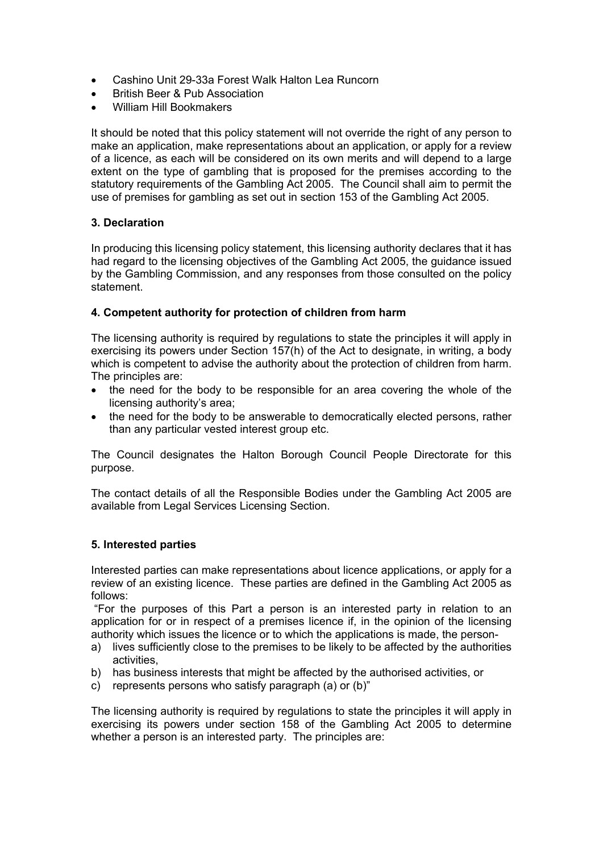- Cashino Unit 29-33a Forest Walk Halton Lea Runcorn
- British Beer & Pub Association
- William Hill Bookmakers

It should be noted that this policy statement will not override the right of any person to make an application, make representations about an application, or apply for a review of a licence, as each will be considered on its own merits and will depend to a large extent on the type of gambling that is proposed for the premises according to the statutory requirements of the Gambling Act 2005. The Council shall aim to permit the use of premises for gambling as set out in section 153 of the Gambling Act 2005.

# **3. Declaration**

In producing this licensing policy statement, this licensing authority declares that it has had regard to the licensing objectives of the Gambling Act 2005, the guidance issued by the Gambling Commission, and any responses from those consulted on the policy statement.

## **4. Competent authority for protection of children from harm**

The licensing authority is required by regulations to state the principles it will apply in exercising its powers under Section 157(h) of the Act to designate, in writing, a body which is competent to advise the authority about the protection of children from harm. The principles are:

- the need for the body to be responsible for an area covering the whole of the licensing authority's area;
- the need for the body to be answerable to democratically elected persons, rather than any particular vested interest group etc.

The Council designates the Halton Borough Council People Directorate for this purpose.

The contact details of all the Responsible Bodies under the Gambling Act 2005 are available from Legal Services Licensing Section.

## **5. Interested parties**

Interested parties can make representations about licence applications, or apply for a review of an existing licence. These parties are defined in the Gambling Act 2005 as follows:

"For the purposes of this Part a person is an interested party in relation to an application for or in respect of a premises licence if, in the opinion of the licensing authority which issues the licence or to which the applications is made, the person-

- a) lives sufficiently close to the premises to be likely to be affected by the authorities activities,
- b) has business interests that might be affected by the authorised activities, or
- c) represents persons who satisfy paragraph (a) or (b)"

The licensing authority is required by regulations to state the principles it will apply in exercising its powers under section 158 of the Gambling Act 2005 to determine whether a person is an interested party. The principles are: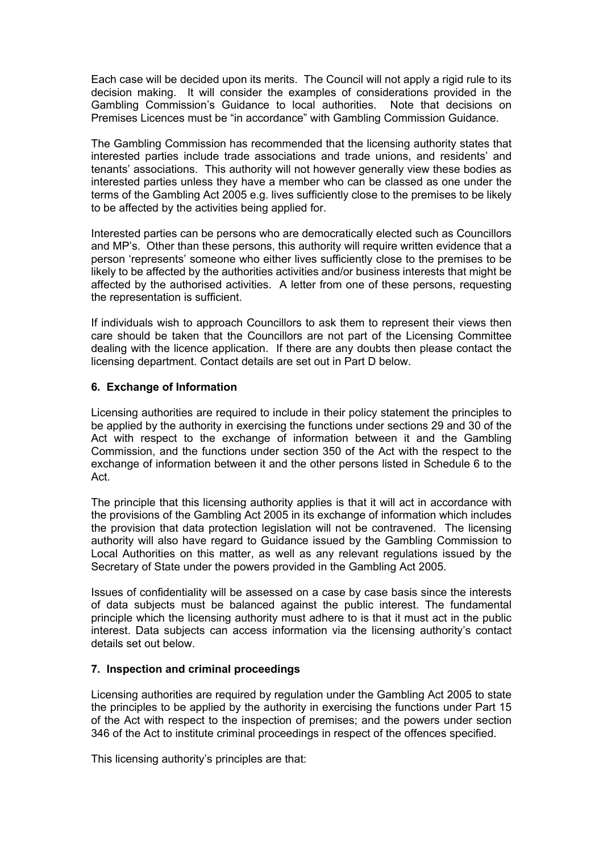Each case will be decided upon its merits. The Council will not apply a rigid rule to its decision making. It will consider the examples of considerations provided in the Gambling Commission's Guidance to local authorities. Note that decisions on Premises Licences must be "in accordance" with Gambling Commission Guidance.

The Gambling Commission has recommended that the licensing authority states that interested parties include trade associations and trade unions, and residents' and tenants' associations. This authority will not however generally view these bodies as interested parties unless they have a member who can be classed as one under the terms of the Gambling Act 2005 e.g. lives sufficiently close to the premises to be likely to be affected by the activities being applied for.

Interested parties can be persons who are democratically elected such as Councillors and MP's. Other than these persons, this authority will require written evidence that a person 'represents' someone who either lives sufficiently close to the premises to be likely to be affected by the authorities activities and/or business interests that might be affected by the authorised activities. A letter from one of these persons, requesting the representation is sufficient.

If individuals wish to approach Councillors to ask them to represent their views then care should be taken that the Councillors are not part of the Licensing Committee dealing with the licence application. If there are any doubts then please contact the licensing department. Contact details are set out in Part D below.

# **6. Exchange of Information**

Licensing authorities are required to include in their policy statement the principles to be applied by the authority in exercising the functions under sections 29 and 30 of the Act with respect to the exchange of information between it and the Gambling Commission, and the functions under section 350 of the Act with the respect to the exchange of information between it and the other persons listed in Schedule 6 to the Act.

The principle that this licensing authority applies is that it will act in accordance with the provisions of the Gambling Act 2005 in its exchange of information which includes the provision that data protection legislation will not be contravened. The licensing authority will also have regard to Guidance issued by the Gambling Commission to Local Authorities on this matter, as well as any relevant regulations issued by the Secretary of State under the powers provided in the Gambling Act 2005.

Issues of confidentiality will be assessed on a case by case basis since the interests of data subjects must be balanced against the public interest. The fundamental principle which the licensing authority must adhere to is that it must act in the public interest. Data subjects can access information via the licensing authority's contact details set out below.

## **7. Inspection and criminal proceedings**

Licensing authorities are required by regulation under the Gambling Act 2005 to state the principles to be applied by the authority in exercising the functions under Part 15 of the Act with respect to the inspection of premises; and the powers under section 346 of the Act to institute criminal proceedings in respect of the offences specified.

This licensing authority's principles are that: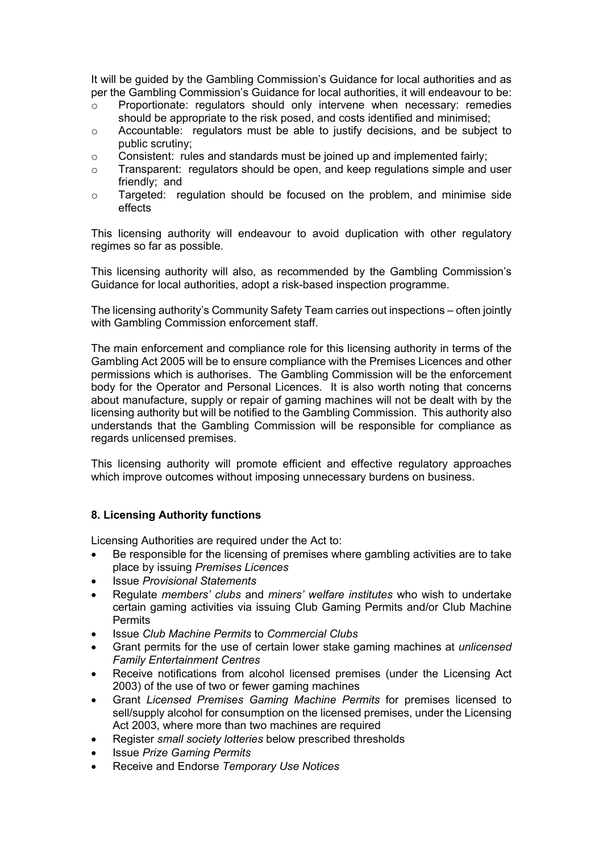It will be guided by the Gambling Commission's Guidance for local authorities and as per the Gambling Commission's Guidance for local authorities, it will endeavour to be:

- o Proportionate: regulators should only intervene when necessary: remedies should be appropriate to the risk posed, and costs identified and minimised;
- $\circ$  Accountable: regulators must be able to justify decisions, and be subject to public scrutiny;
- $\circ$  Consistent: rules and standards must be joined up and implemented fairly;
- $\circ$  Transparent: regulators should be open, and keep regulations simple and user friendly; and
- o Targeted: regulation should be focused on the problem, and minimise side effects

This licensing authority will endeavour to avoid duplication with other regulatory regimes so far as possible.

This licensing authority will also, as recommended by the Gambling Commission's Guidance for local authorities, adopt a risk-based inspection programme.

The licensing authority's Community Safety Team carries out inspections – often jointly with Gambling Commission enforcement staff.

The main enforcement and compliance role for this licensing authority in terms of the Gambling Act 2005 will be to ensure compliance with the Premises Licences and other permissions which is authorises. The Gambling Commission will be the enforcement body for the Operator and Personal Licences. It is also worth noting that concerns about manufacture, supply or repair of gaming machines will not be dealt with by the licensing authority but will be notified to the Gambling Commission. This authority also understands that the Gambling Commission will be responsible for compliance as regards unlicensed premises.

This licensing authority will promote efficient and effective regulatory approaches which improve outcomes without imposing unnecessary burdens on business.

## **8. Licensing Authority functions**

Licensing Authorities are required under the Act to:

- Be responsible for the licensing of premises where gambling activities are to take place by issuing *Premises Licences*
- Issue *Provisional Statements*
- Regulate *members' clubs* and *miners' welfare institutes* who wish to undertake certain gaming activities via issuing Club Gaming Permits and/or Club Machine Permits
- Issue *Club Machine Permits* to *Commercial Clubs*
- Grant permits for the use of certain lower stake gaming machines at *unlicensed Family Entertainment Centres*
- Receive notifications from alcohol licensed premises (under the Licensing Act 2003) of the use of two or fewer gaming machines
- Grant *Licensed Premises Gaming Machine Permits* for premises licensed to sell/supply alcohol for consumption on the licensed premises, under the Licensing Act 2003, where more than two machines are required
- Register *small society lotteries* below prescribed thresholds
- Issue *Prize Gaming Permits*
- Receive and Endorse *Temporary Use Notices*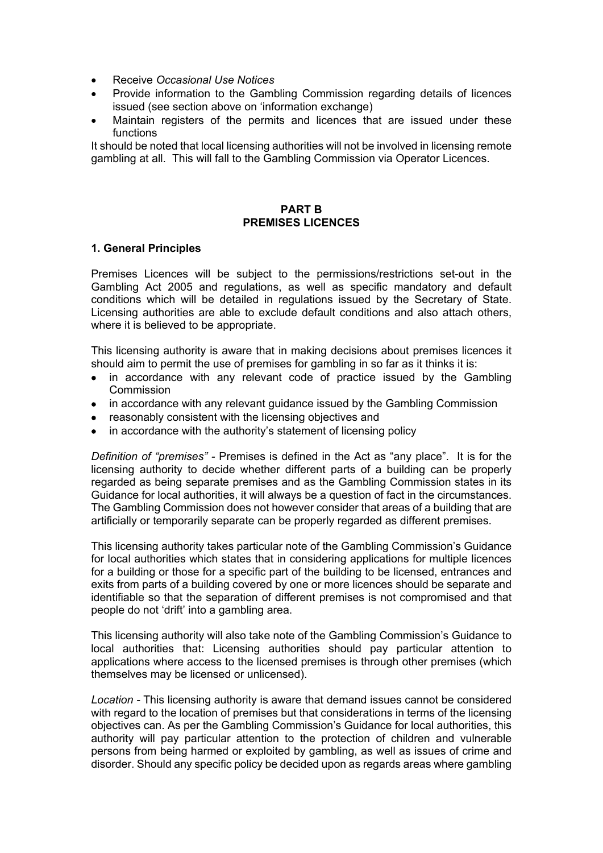- Receive *Occasional Use Notices*
- Provide information to the Gambling Commission regarding details of licences issued (see section above on 'information exchange)
- Maintain registers of the permits and licences that are issued under these functions

It should be noted that local licensing authorities will not be involved in licensing remote gambling at all. This will fall to the Gambling Commission via Operator Licences.

#### **PART B PREMISES LICENCES**

#### **1. General Principles**

Premises Licences will be subject to the permissions/restrictions set-out in the Gambling Act 2005 and regulations, as well as specific mandatory and default conditions which will be detailed in regulations issued by the Secretary of State. Licensing authorities are able to exclude default conditions and also attach others, where it is believed to be appropriate.

This licensing authority is aware that in making decisions about premises licences it should aim to permit the use of premises for gambling in so far as it thinks it is:

- in accordance with any relevant code of practice issued by the Gambling Commission
- in accordance with any relevant guidance issued by the Gambling Commission
- reasonably consistent with the licensing objectives and
- in accordance with the authority's statement of licensing policy

*Definition of "premises" -* Premises is defined in the Act as "any place". It is for the licensing authority to decide whether different parts of a building can be properly regarded as being separate premises and as the Gambling Commission states in its Guidance for local authorities, it will always be a question of fact in the circumstances. The Gambling Commission does not however consider that areas of a building that are artificially or temporarily separate can be properly regarded as different premises.

This licensing authority takes particular note of the Gambling Commission's Guidance for local authorities which states that in considering applications for multiple licences for a building or those for a specific part of the building to be licensed, entrances and exits from parts of a building covered by one or more licences should be separate and identifiable so that the separation of different premises is not compromised and that people do not 'drift' into a gambling area.

This licensing authority will also take note of the Gambling Commission's Guidance to local authorities that: Licensing authorities should pay particular attention to applications where access to the licensed premises is through other premises (which themselves may be licensed or unlicensed).

*Location -* This licensing authority is aware that demand issues cannot be considered with regard to the location of premises but that considerations in terms of the licensing objectives can. As per the Gambling Commission's Guidance for local authorities, this authority will pay particular attention to the protection of children and vulnerable persons from being harmed or exploited by gambling, as well as issues of crime and disorder. Should any specific policy be decided upon as regards areas where gambling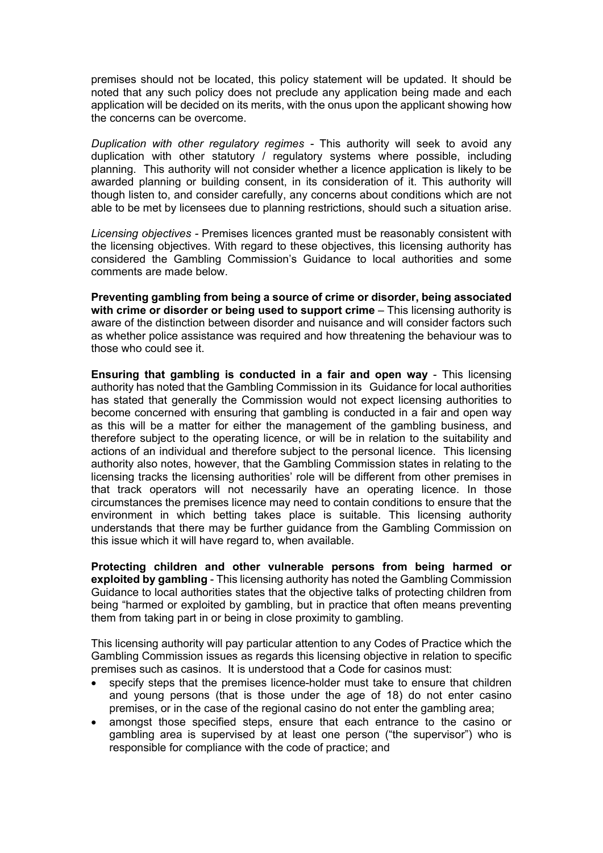premises should not be located, this policy statement will be updated. It should be noted that any such policy does not preclude any application being made and each application will be decided on its merits, with the onus upon the applicant showing how the concerns can be overcome.

*Duplication with other regulatory regimes -* This authority will seek to avoid any duplication with other statutory / regulatory systems where possible, including planning. This authority will not consider whether a licence application is likely to be awarded planning or building consent, in its consideration of it. This authority will though listen to, and consider carefully, any concerns about conditions which are not able to be met by licensees due to planning restrictions, should such a situation arise.

*Licensing objectives -* Premises licences granted must be reasonably consistent with the licensing objectives. With regard to these objectives, this licensing authority has considered the Gambling Commission's Guidance to local authorities and some comments are made below.

**Preventing gambling from being a source of crime or disorder, being associated with crime or disorder or being used to support crime** – This licensing authority is aware of the distinction between disorder and nuisance and will consider factors such as whether police assistance was required and how threatening the behaviour was to those who could see it.

**Ensuring that gambling is conducted in a fair and open way** - This licensing authority has noted that the Gambling Commission in its Guidance for local authorities has stated that generally the Commission would not expect licensing authorities to become concerned with ensuring that gambling is conducted in a fair and open way as this will be a matter for either the management of the gambling business, and therefore subject to the operating licence, or will be in relation to the suitability and actions of an individual and therefore subject to the personal licence. This licensing authority also notes, however, that the Gambling Commission states in relating to the licensing tracks the licensing authorities' role will be different from other premises in that track operators will not necessarily have an operating licence. In those circumstances the premises licence may need to contain conditions to ensure that the environment in which betting takes place is suitable. This licensing authority understands that there may be further guidance from the Gambling Commission on this issue which it will have regard to, when available.

**Protecting children and other vulnerable persons from being harmed or exploited by gambling** - This licensing authority has noted the Gambling Commission Guidance to local authorities states that the objective talks of protecting children from being "harmed or exploited by gambling, but in practice that often means preventing them from taking part in or being in close proximity to gambling.

This licensing authority will pay particular attention to any Codes of Practice which the Gambling Commission issues as regards this licensing objective in relation to specific premises such as casinos. It is understood that a Code for casinos must:

- specify steps that the premises licence-holder must take to ensure that children and young persons (that is those under the age of 18) do not enter casino premises, or in the case of the regional casino do not enter the gambling area;
- amongst those specified steps, ensure that each entrance to the casino or gambling area is supervised by at least one person ("the supervisor") who is responsible for compliance with the code of practice; and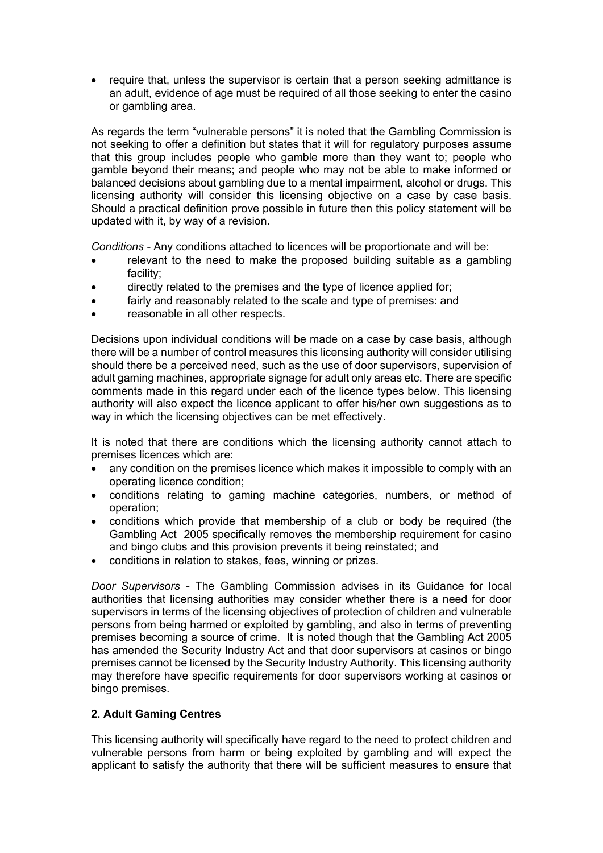• require that, unless the supervisor is certain that a person seeking admittance is an adult, evidence of age must be required of all those seeking to enter the casino or gambling area.

As regards the term "vulnerable persons" it is noted that the Gambling Commission is not seeking to offer a definition but states that it will for regulatory purposes assume that this group includes people who gamble more than they want to; people who gamble beyond their means; and people who may not be able to make informed or balanced decisions about gambling due to a mental impairment, alcohol or drugs. This licensing authority will consider this licensing objective on a case by case basis. Should a practical definition prove possible in future then this policy statement will be updated with it, by way of a revision.

*Conditions -* Any conditions attached to licences will be proportionate and will be:

- relevant to the need to make the proposed building suitable as a gambling facility;
- directly related to the premises and the type of licence applied for;
- fairly and reasonably related to the scale and type of premises: and
- reasonable in all other respects.

Decisions upon individual conditions will be made on a case by case basis, although there will be a number of control measures this licensing authority will consider utilising should there be a perceived need, such as the use of door supervisors, supervision of adult gaming machines, appropriate signage for adult only areas etc. There are specific comments made in this regard under each of the licence types below. This licensing authority will also expect the licence applicant to offer his/her own suggestions as to way in which the licensing objectives can be met effectively.

It is noted that there are conditions which the licensing authority cannot attach to premises licences which are:

- any condition on the premises licence which makes it impossible to comply with an operating licence condition;
- conditions relating to gaming machine categories, numbers, or method of operation;
- conditions which provide that membership of a club or body be required (the Gambling Act 2005 specifically removes the membership requirement for casino and bingo clubs and this provision prevents it being reinstated; and
- conditions in relation to stakes, fees, winning or prizes.

*Door Supervisors -* The Gambling Commission advises in its Guidance for local authorities that licensing authorities may consider whether there is a need for door supervisors in terms of the licensing objectives of protection of children and vulnerable persons from being harmed or exploited by gambling, and also in terms of preventing premises becoming a source of crime. It is noted though that the Gambling Act 2005 has amended the Security Industry Act and that door supervisors at casinos or bingo premises cannot be licensed by the Security Industry Authority. This licensing authority may therefore have specific requirements for door supervisors working at casinos or bingo premises.

#### **2. Adult Gaming Centres**

This licensing authority will specifically have regard to the need to protect children and vulnerable persons from harm or being exploited by gambling and will expect the applicant to satisfy the authority that there will be sufficient measures to ensure that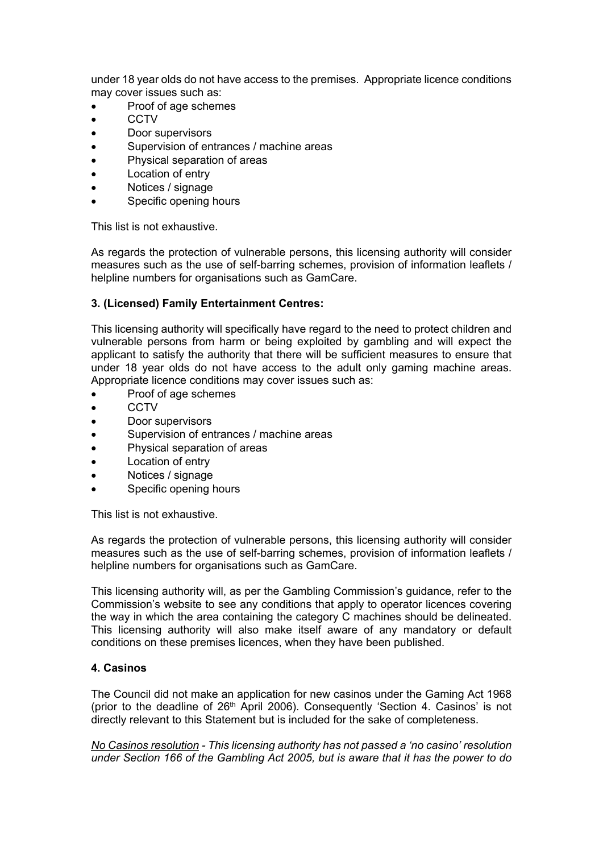under 18 year olds do not have access to the premises. Appropriate licence conditions may cover issues such as:

- Proof of age schemes
- $\bullet$  CCTV
- Door supervisors
- Supervision of entrances / machine areas
- Physical separation of areas
- Location of entry
- Notices / signage
- Specific opening hours

This list is not exhaustive.

As regards the protection of vulnerable persons, this licensing authority will consider measures such as the use of self-barring schemes, provision of information leaflets / helpline numbers for organisations such as GamCare.

# **3. (Licensed) Family Entertainment Centres:**

This licensing authority will specifically have regard to the need to protect children and vulnerable persons from harm or being exploited by gambling and will expect the applicant to satisfy the authority that there will be sufficient measures to ensure that under 18 year olds do not have access to the adult only gaming machine areas. Appropriate licence conditions may cover issues such as:

- Proof of age schemes
- **CCTV**
- Door supervisors
- Supervision of entrances / machine areas
- Physical separation of areas
- Location of entry
- Notices / signage
- Specific opening hours

This list is not exhaustive.

As regards the protection of vulnerable persons, this licensing authority will consider measures such as the use of self-barring schemes, provision of information leaflets / helpline numbers for organisations such as GamCare.

This licensing authority will, as per the Gambling Commission's guidance, refer to the Commission's website to see any conditions that apply to operator licences covering the way in which the area containing the category C machines should be delineated. This licensing authority will also make itself aware of any mandatory or default conditions on these premises licences, when they have been published.

## **4. Casinos**

The Council did not make an application for new casinos under the Gaming Act 1968 (prior to the deadline of  $26<sup>th</sup>$  April 2006). Consequently 'Section 4. Casinos' is not directly relevant to this Statement but is included for the sake of completeness.

*No Casinos resolution - This licensing authority has not passed a 'no casino' resolution under Section 166 of the Gambling Act 2005, but is aware that it has the power to do*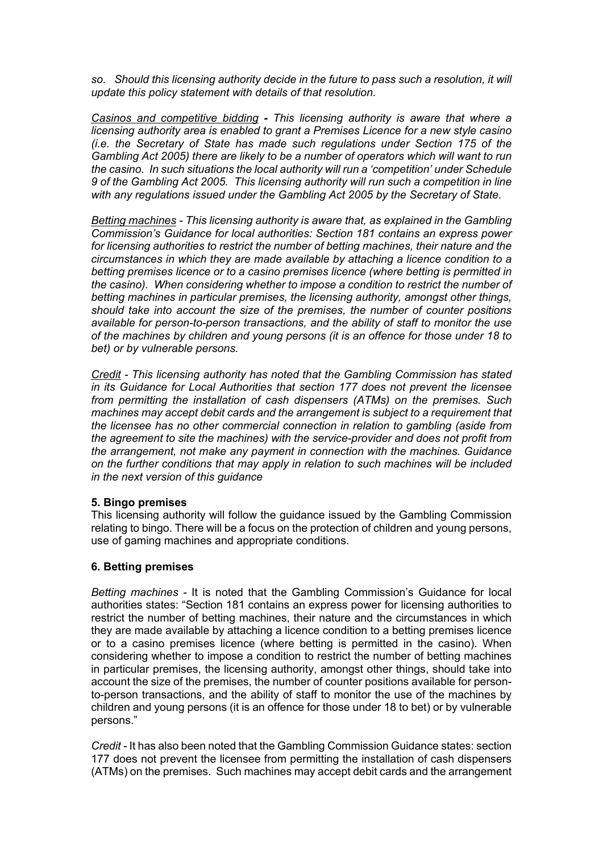*so. Should this licensing authority decide in the future to pass such a resolution, it will update this policy statement with details of that resolution.*

*Casinos and competitive bidding - This licensing authority is aware that where a licensing authority area is enabled to grant a Premises Licence for a new style casino (i.e. the Secretary of State has made such regulations under Section 175 of the Gambling Act 2005) there are likely to be a number of operators which will want to run the casino. In such situations the local authority will run a 'competition' under Schedule 9 of the Gambling Act 2005. This licensing authority will run such a competition in line with any regulations issued under the Gambling Act 2005 by the Secretary of State.*

*Betting machines - This licensing authority is aware that, as explained in the Gambling Commission's Guidance for local authorities: Section 181 contains an express power for licensing authorities to restrict the number of betting machines, their nature and the circumstances in which they are made available by attaching a licence condition to a betting premises licence or to a casino premises licence (where betting is permitted in the casino). When considering whether to impose a condition to restrict the number of betting machines in particular premises, the licensing authority, amongst other things, should take into account the size of the premises, the number of counter positions available for person-to-person transactions, and the ability of staff to monitor the use of the machines by children and young persons (it is an offence for those under 18 to bet) or by vulnerable persons.*

*Credit - This licensing authority has noted that the Gambling Commission has stated in its Guidance for Local Authorities that section 177 does not prevent the licensee from permitting the installation of cash dispensers (ATMs) on the premises. Such machines may accept debit cards and the arrangement is subject to a requirement that the licensee has no other commercial connection in relation to gambling (aside from the agreement to site the machines) with the service-provider and does not profit from the arrangement, not make any payment in connection with the machines. Guidance on the further conditions that may apply in relation to such machines will be included in the next version of this guidance*

#### **5. Bingo premises**

This licensing authority will follow the guidance issued by the Gambling Commission relating to bingo. There will be a focus on the protection of children and young persons, use of gaming machines and appropriate conditions.

## **6. Betting premises**

*Betting machines -* It is noted that the Gambling Commission's Guidance for local authorities states: "Section 181 contains an express power for licensing authorities to restrict the number of betting machines, their nature and the circumstances in which they are made available by attaching a licence condition to a betting premises licence or to a casino premises licence (where betting is permitted in the casino). When considering whether to impose a condition to restrict the number of betting machines in particular premises, the licensing authority, amongst other things, should take into account the size of the premises, the number of counter positions available for personto-person transactions, and the ability of staff to monitor the use of the machines by children and young persons (it is an offence for those under 18 to bet) or by vulnerable persons."

*Credit -* It has also been noted that the Gambling Commission Guidance states: section 177 does not prevent the licensee from permitting the installation of cash dispensers (ATMs) on the premises. Such machines may accept debit cards and the arrangement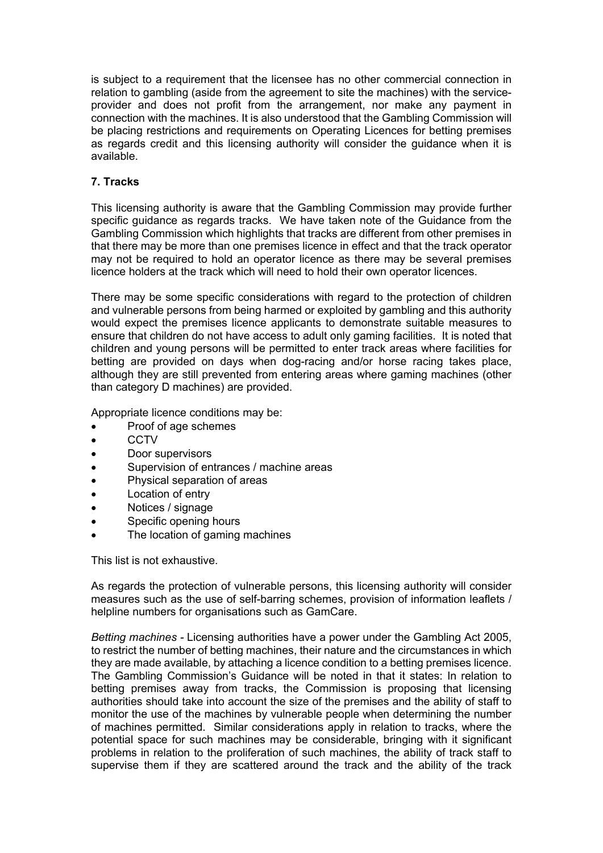is subject to a requirement that the licensee has no other commercial connection in relation to gambling (aside from the agreement to site the machines) with the serviceprovider and does not profit from the arrangement, nor make any payment in connection with the machines. It is also understood that the Gambling Commission will be placing restrictions and requirements on Operating Licences for betting premises as regards credit and this licensing authority will consider the guidance when it is available.

#### **7. Tracks**

This licensing authority is aware that the Gambling Commission may provide further specific guidance as regards tracks. We have taken note of the Guidance from the Gambling Commission which highlights that tracks are different from other premises in that there may be more than one premises licence in effect and that the track operator may not be required to hold an operator licence as there may be several premises licence holders at the track which will need to hold their own operator licences.

There may be some specific considerations with regard to the protection of children and vulnerable persons from being harmed or exploited by gambling and this authority would expect the premises licence applicants to demonstrate suitable measures to ensure that children do not have access to adult only gaming facilities. It is noted that children and young persons will be permitted to enter track areas where facilities for betting are provided on days when dog-racing and/or horse racing takes place, although they are still prevented from entering areas where gaming machines (other than category D machines) are provided.

Appropriate licence conditions may be:

- Proof of age schemes
- CCTV
- Door supervisors
- Supervision of entrances / machine areas
- Physical separation of areas
- Location of entry
- Notices / signage
- Specific opening hours
- The location of gaming machines

This list is not exhaustive.

As regards the protection of vulnerable persons, this licensing authority will consider measures such as the use of self-barring schemes, provision of information leaflets / helpline numbers for organisations such as GamCare.

*Betting machines -* Licensing authorities have a power under the Gambling Act 2005, to restrict the number of betting machines, their nature and the circumstances in which they are made available, by attaching a licence condition to a betting premises licence. The Gambling Commission's Guidance will be noted in that it states: In relation to betting premises away from tracks, the Commission is proposing that licensing authorities should take into account the size of the premises and the ability of staff to monitor the use of the machines by vulnerable people when determining the number of machines permitted. Similar considerations apply in relation to tracks, where the potential space for such machines may be considerable, bringing with it significant problems in relation to the proliferation of such machines, the ability of track staff to supervise them if they are scattered around the track and the ability of the track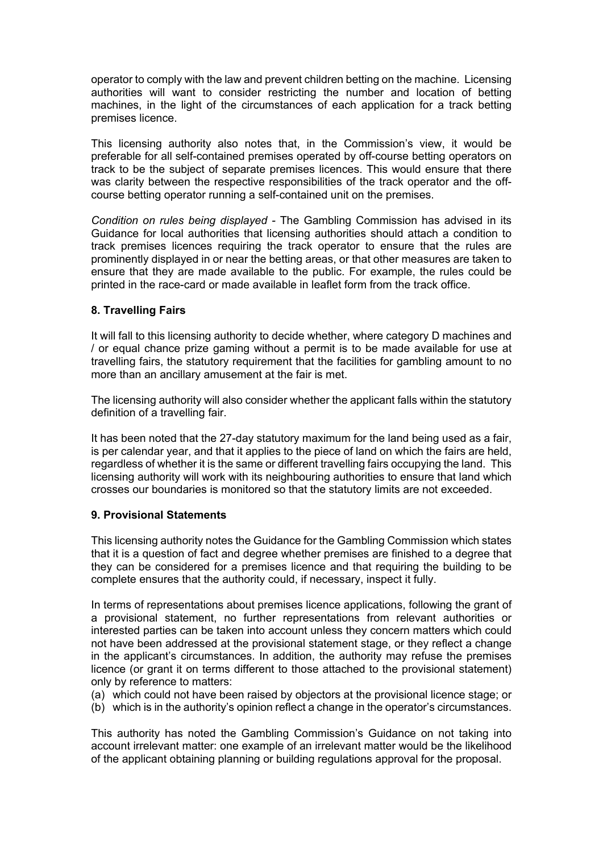operator to comply with the law and prevent children betting on the machine. Licensing authorities will want to consider restricting the number and location of betting machines, in the light of the circumstances of each application for a track betting premises licence.

This licensing authority also notes that, in the Commission's view, it would be preferable for all self-contained premises operated by off-course betting operators on track to be the subject of separate premises licences. This would ensure that there was clarity between the respective responsibilities of the track operator and the offcourse betting operator running a self-contained unit on the premises.

*Condition on rules being displayed -* The Gambling Commission has advised in its Guidance for local authorities that licensing authorities should attach a condition to track premises licences requiring the track operator to ensure that the rules are prominently displayed in or near the betting areas, or that other measures are taken to ensure that they are made available to the public. For example, the rules could be printed in the race-card or made available in leaflet form from the track office.

# **8. Travelling Fairs**

It will fall to this licensing authority to decide whether, where category D machines and / or equal chance prize gaming without a permit is to be made available for use at travelling fairs, the statutory requirement that the facilities for gambling amount to no more than an ancillary amusement at the fair is met.

The licensing authority will also consider whether the applicant falls within the statutory definition of a travelling fair.

It has been noted that the 27-day statutory maximum for the land being used as a fair, is per calendar year, and that it applies to the piece of land on which the fairs are held, regardless of whether it is the same or different travelling fairs occupying the land. This licensing authority will work with its neighbouring authorities to ensure that land which crosses our boundaries is monitored so that the statutory limits are not exceeded.

## **9. Provisional Statements**

This licensing authority notes the Guidance for the Gambling Commission which states that it is a question of fact and degree whether premises are finished to a degree that they can be considered for a premises licence and that requiring the building to be complete ensures that the authority could, if necessary, inspect it fully.

In terms of representations about premises licence applications, following the grant of a provisional statement, no further representations from relevant authorities or interested parties can be taken into account unless they concern matters which could not have been addressed at the provisional statement stage, or they reflect a change in the applicant's circumstances. In addition, the authority may refuse the premises licence (or grant it on terms different to those attached to the provisional statement) only by reference to matters:

- (a) which could not have been raised by objectors at the provisional licence stage; or
- (b) which is in the authority's opinion reflect a change in the operator's circumstances.

This authority has noted the Gambling Commission's Guidance on not taking into account irrelevant matter: one example of an irrelevant matter would be the likelihood of the applicant obtaining planning or building regulations approval for the proposal.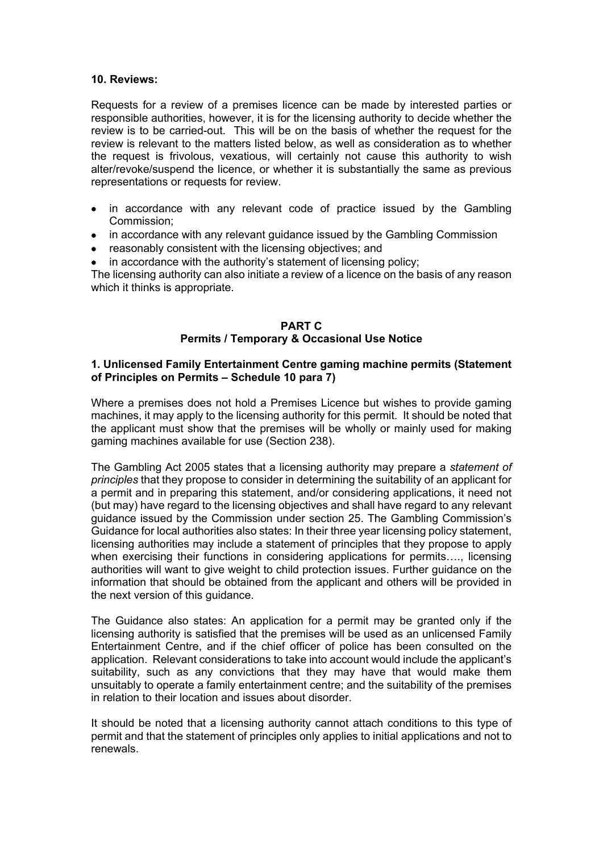#### **10. Reviews:**

Requests for a review of a premises licence can be made by interested parties or responsible authorities, however, it is for the licensing authority to decide whether the review is to be carried-out. This will be on the basis of whether the request for the review is relevant to the matters listed below, as well as consideration as to whether the request is frivolous, vexatious, will certainly not cause this authority to wish alter/revoke/suspend the licence, or whether it is substantially the same as previous representations or requests for review.

- in accordance with any relevant code of practice issued by the Gambling Commission;
- in accordance with any relevant guidance issued by the Gambling Commission
- reasonably consistent with the licensing objectives; and
- in accordance with the authority's statement of licensing policy;

The licensing authority can also initiate a review of a licence on the basis of any reason which it thinks is appropriate.

#### **PART C Permits / Temporary & Occasional Use Notice**

#### **1. Unlicensed Family Entertainment Centre gaming machine permits (Statement of Principles on Permits – Schedule 10 para 7)**

Where a premises does not hold a Premises Licence but wishes to provide gaming machines, it may apply to the licensing authority for this permit. It should be noted that the applicant must show that the premises will be wholly or mainly used for making gaming machines available for use (Section 238).

The Gambling Act 2005 states that a licensing authority may prepare a *statement of principles* that they propose to consider in determining the suitability of an applicant for a permit and in preparing this statement, and/or considering applications, it need not (but may) have regard to the licensing objectives and shall have regard to any relevant guidance issued by the Commission under section 25. The Gambling Commission's Guidance for local authorities also states: In their three year licensing policy statement, licensing authorities may include a statement of principles that they propose to apply when exercising their functions in considering applications for permits…., licensing authorities will want to give weight to child protection issues. Further guidance on the information that should be obtained from the applicant and others will be provided in the next version of this guidance.

The Guidance also states: An application for a permit may be granted only if the licensing authority is satisfied that the premises will be used as an unlicensed Family Entertainment Centre, and if the chief officer of police has been consulted on the application. Relevant considerations to take into account would include the applicant's suitability, such as any convictions that they may have that would make them unsuitably to operate a family entertainment centre; and the suitability of the premises in relation to their location and issues about disorder.

It should be noted that a licensing authority cannot attach conditions to this type of permit and that the statement of principles only applies to initial applications and not to renewals.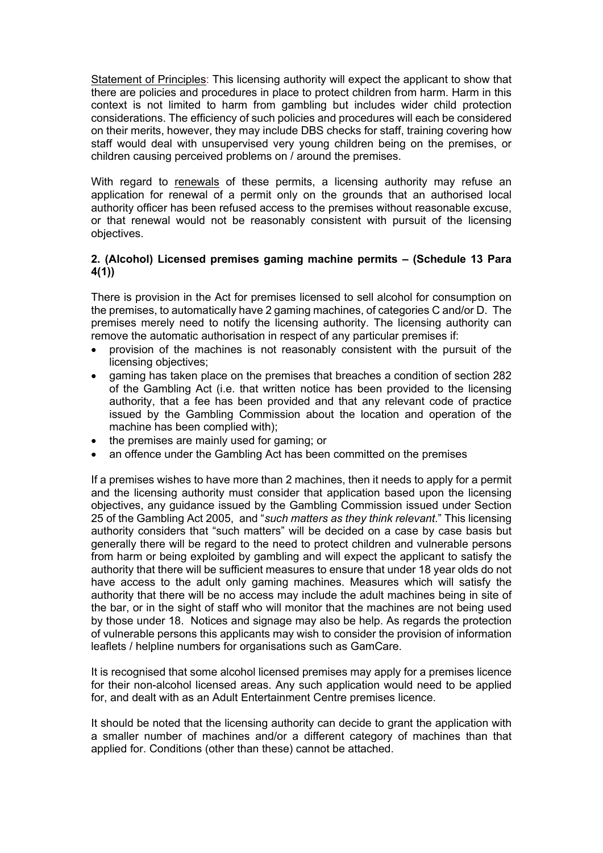Statement of Principles: This licensing authority will expect the applicant to show that there are policies and procedures in place to protect children from harm. Harm in this context is not limited to harm from gambling but includes wider child protection considerations. The efficiency of such policies and procedures will each be considered on their merits, however, they may include DBS checks for staff, training covering how staff would deal with unsupervised very young children being on the premises, or children causing perceived problems on / around the premises.

With regard to renewals of these permits, a licensing authority may refuse an application for renewal of a permit only on the grounds that an authorised local authority officer has been refused access to the premises without reasonable excuse, or that renewal would not be reasonably consistent with pursuit of the licensing objectives.

# **2. (Alcohol) Licensed premises gaming machine permits – (Schedule 13 Para 4(1))**

There is provision in the Act for premises licensed to sell alcohol for consumption on the premises, to automatically have 2 gaming machines, of categories C and/or D. The premises merely need to notify the licensing authority. The licensing authority can remove the automatic authorisation in respect of any particular premises if:

- provision of the machines is not reasonably consistent with the pursuit of the licensing objectives;
- gaming has taken place on the premises that breaches a condition of section 282 of the Gambling Act (i.e. that written notice has been provided to the licensing authority, that a fee has been provided and that any relevant code of practice issued by the Gambling Commission about the location and operation of the machine has been complied with);
- the premises are mainly used for gaming; or
- an offence under the Gambling Act has been committed on the premises

If a premises wishes to have more than 2 machines, then it needs to apply for a permit and the licensing authority must consider that application based upon the licensing objectives, any guidance issued by the Gambling Commission issued under Section 25 of the Gambling Act 2005, and "*such matters as they think relevant*." This licensing authority considers that "such matters" will be decided on a case by case basis but generally there will be regard to the need to protect children and vulnerable persons from harm or being exploited by gambling and will expect the applicant to satisfy the authority that there will be sufficient measures to ensure that under 18 year olds do not have access to the adult only gaming machines. Measures which will satisfy the authority that there will be no access may include the adult machines being in site of the bar, or in the sight of staff who will monitor that the machines are not being used by those under 18. Notices and signage may also be help. As regards the protection of vulnerable persons this applicants may wish to consider the provision of information leaflets / helpline numbers for organisations such as GamCare.

It is recognised that some alcohol licensed premises may apply for a premises licence for their non-alcohol licensed areas. Any such application would need to be applied for, and dealt with as an Adult Entertainment Centre premises licence.

It should be noted that the licensing authority can decide to grant the application with a smaller number of machines and/or a different category of machines than that applied for. Conditions (other than these) cannot be attached.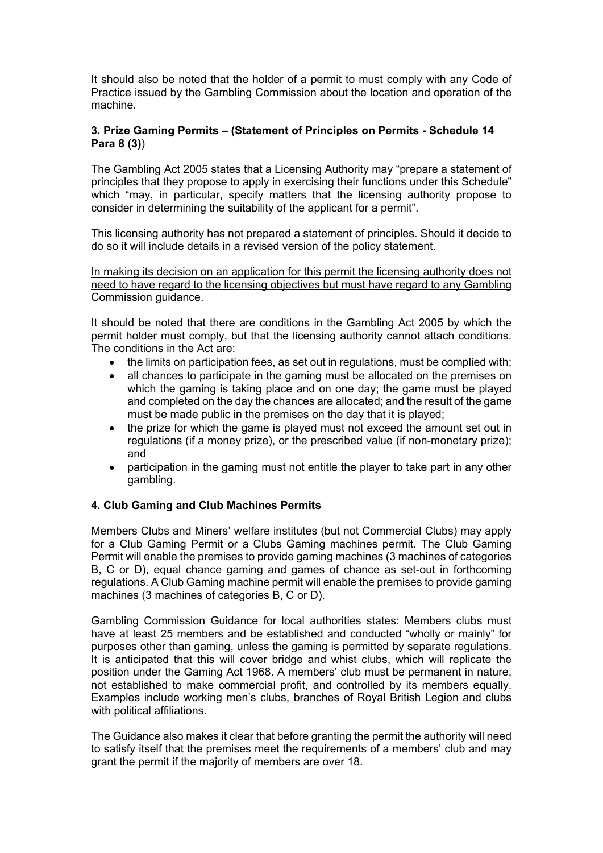It should also be noted that the holder of a permit to must comply with any Code of Practice issued by the Gambling Commission about the location and operation of the machine.

## **3. Prize Gaming Permits – (Statement of Principles on Permits - Schedule 14 Para 8 (3)**)

The Gambling Act 2005 states that a Licensing Authority may "prepare a statement of principles that they propose to apply in exercising their functions under this Schedule" which "may, in particular, specify matters that the licensing authority propose to consider in determining the suitability of the applicant for a permit".

This licensing authority has not prepared a statement of principles. Should it decide to do so it will include details in a revised version of the policy statement.

In making its decision on an application for this permit the licensing authority does not need to have regard to the licensing objectives but must have regard to any Gambling Commission guidance.

It should be noted that there are conditions in the Gambling Act 2005 by which the permit holder must comply, but that the licensing authority cannot attach conditions. The conditions in the Act are:

- the limits on participation fees, as set out in regulations, must be complied with;
- all chances to participate in the gaming must be allocated on the premises on which the gaming is taking place and on one day; the game must be played and completed on the day the chances are allocated; and the result of the game must be made public in the premises on the day that it is played;
- the prize for which the game is played must not exceed the amount set out in regulations (if a money prize), or the prescribed value (if non-monetary prize); and
- participation in the gaming must not entitle the player to take part in any other gambling.

## **4. Club Gaming and Club Machines Permits**

Members Clubs and Miners' welfare institutes (but not Commercial Clubs) may apply for a Club Gaming Permit or a Clubs Gaming machines permit. The Club Gaming Permit will enable the premises to provide gaming machines (3 machines of categories B, C or D), equal chance gaming and games of chance as set-out in forthcoming regulations. A Club Gaming machine permit will enable the premises to provide gaming machines (3 machines of categories B, C or D).

Gambling Commission Guidance for local authorities states: Members clubs must have at least 25 members and be established and conducted "wholly or mainly" for purposes other than gaming, unless the gaming is permitted by separate regulations. It is anticipated that this will cover bridge and whist clubs, which will replicate the position under the Gaming Act 1968. A members' club must be permanent in nature, not established to make commercial profit, and controlled by its members equally. Examples include working men's clubs, branches of Royal British Legion and clubs with political affiliations.

The Guidance also makes it clear that before granting the permit the authority will need to satisfy itself that the premises meet the requirements of a members' club and may grant the permit if the majority of members are over 18.